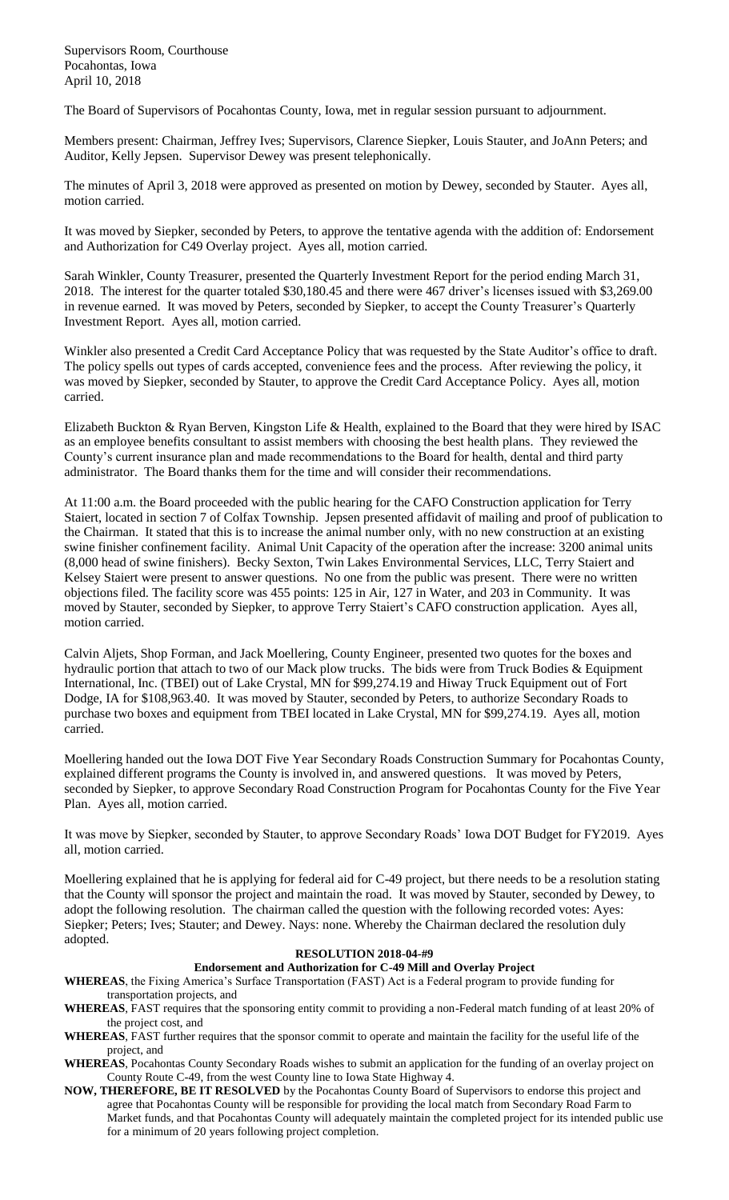Supervisors Room, Courthouse Pocahontas, Iowa April 10, 2018

The Board of Supervisors of Pocahontas County, Iowa, met in regular session pursuant to adjournment.

Members present: Chairman, Jeffrey Ives; Supervisors, Clarence Siepker, Louis Stauter, and JoAnn Peters; and Auditor, Kelly Jepsen. Supervisor Dewey was present telephonically.

The minutes of April 3, 2018 were approved as presented on motion by Dewey, seconded by Stauter. Ayes all, motion carried.

It was moved by Siepker, seconded by Peters, to approve the tentative agenda with the addition of: Endorsement and Authorization for C49 Overlay project. Ayes all, motion carried.

Sarah Winkler, County Treasurer, presented the Quarterly Investment Report for the period ending March 31, 2018. The interest for the quarter totaled \$30,180.45 and there were 467 driver's licenses issued with \$3,269.00 in revenue earned. It was moved by Peters, seconded by Siepker, to accept the County Treasurer's Quarterly Investment Report. Ayes all, motion carried.

Winkler also presented a Credit Card Acceptance Policy that was requested by the State Auditor's office to draft. The policy spells out types of cards accepted, convenience fees and the process. After reviewing the policy, it was moved by Siepker, seconded by Stauter, to approve the Credit Card Acceptance Policy. Ayes all, motion carried.

Elizabeth Buckton & Ryan Berven, Kingston Life & Health, explained to the Board that they were hired by ISAC as an employee benefits consultant to assist members with choosing the best health plans. They reviewed the County's current insurance plan and made recommendations to the Board for health, dental and third party administrator. The Board thanks them for the time and will consider their recommendations.

At 11:00 a.m. the Board proceeded with the public hearing for the CAFO Construction application for Terry Staiert, located in section 7 of Colfax Township. Jepsen presented affidavit of mailing and proof of publication to the Chairman. It stated that this is to increase the animal number only, with no new construction at an existing swine finisher confinement facility. Animal Unit Capacity of the operation after the increase: 3200 animal units (8,000 head of swine finishers). Becky Sexton, Twin Lakes Environmental Services, LLC, Terry Staiert and Kelsey Staiert were present to answer questions. No one from the public was present. There were no written objections filed. The facility score was 455 points: 125 in Air, 127 in Water, and 203 in Community. It was moved by Stauter, seconded by Siepker, to approve Terry Staiert's CAFO construction application. Ayes all, motion carried.

Calvin Aljets, Shop Forman, and Jack Moellering, County Engineer, presented two quotes for the boxes and hydraulic portion that attach to two of our Mack plow trucks. The bids were from Truck Bodies & Equipment International, Inc. (TBEI) out of Lake Crystal, MN for \$99,274.19 and Hiway Truck Equipment out of Fort Dodge, IA for \$108,963.40. It was moved by Stauter, seconded by Peters, to authorize Secondary Roads to purchase two boxes and equipment from TBEI located in Lake Crystal, MN for \$99,274.19. Ayes all, motion carried.

Moellering handed out the Iowa DOT Five Year Secondary Roads Construction Summary for Pocahontas County, explained different programs the County is involved in, and answered questions. It was moved by Peters, seconded by Siepker, to approve Secondary Road Construction Program for Pocahontas County for the Five Year Plan. Ayes all, motion carried.

It was move by Siepker, seconded by Stauter, to approve Secondary Roads' Iowa DOT Budget for FY2019. Ayes all, motion carried.

Moellering explained that he is applying for federal aid for C-49 project, but there needs to be a resolution stating that the County will sponsor the project and maintain the road. It was moved by Stauter, seconded by Dewey, to adopt the following resolution. The chairman called the question with the following recorded votes: Ayes: Siepker; Peters; Ives; Stauter; and Dewey. Nays: none. Whereby the Chairman declared the resolution duly adopted.

## **RESOLUTION 2018-04-#9**

## **Endorsement and Authorization for C-49 Mill and Overlay Project**

- **WHEREAS**, the Fixing America's Surface Transportation (FAST) Act is a Federal program to provide funding for transportation projects, and
- **WHEREAS**, FAST requires that the sponsoring entity commit to providing a non-Federal match funding of at least 20% of the project cost, and
- **WHEREAS**, FAST further requires that the sponsor commit to operate and maintain the facility for the useful life of the project, and
- **WHEREAS**, Pocahontas County Secondary Roads wishes to submit an application for the funding of an overlay project on County Route C-49, from the west County line to Iowa State Highway 4.
- **NOW, THEREFORE, BE IT RESOLVED** by the Pocahontas County Board of Supervisors to endorse this project and agree that Pocahontas County will be responsible for providing the local match from Secondary Road Farm to Market funds, and that Pocahontas County will adequately maintain the completed project for its intended public use for a minimum of 20 years following project completion.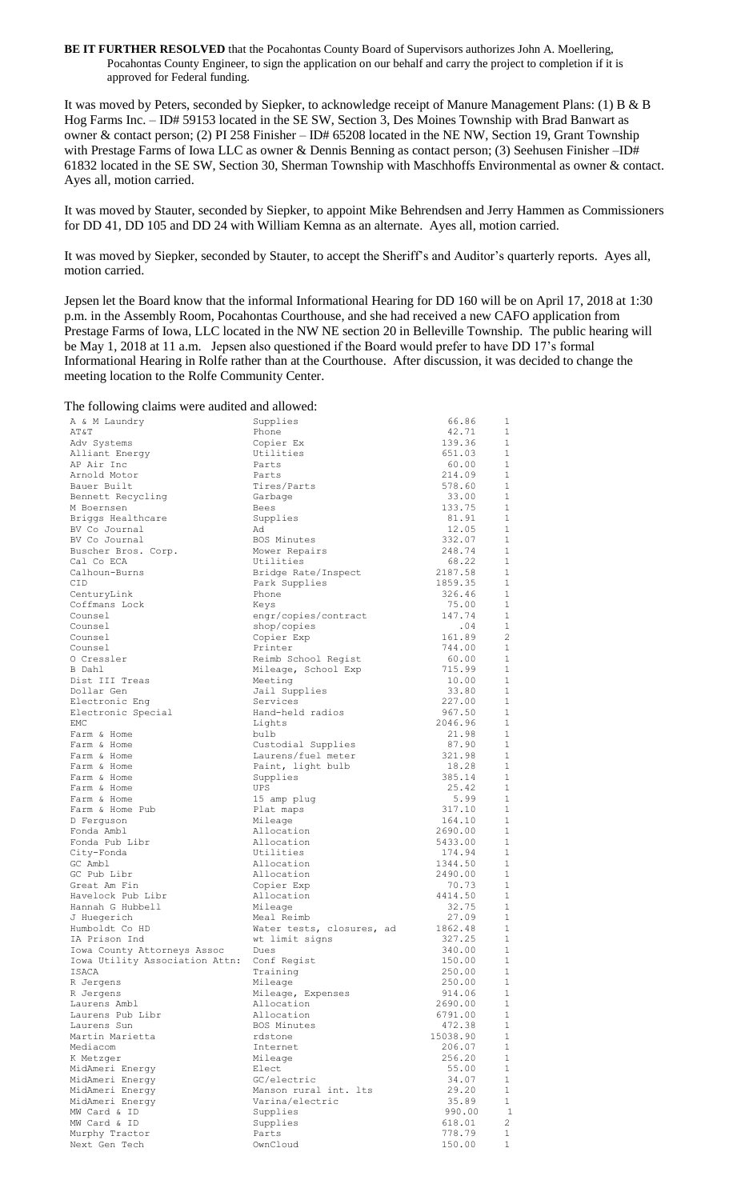**BE IT FURTHER RESOLVED** that the Pocahontas County Board of Supervisors authorizes John A. Moellering, Pocahontas County Engineer, to sign the application on our behalf and carry the project to completion if it is approved for Federal funding.

It was moved by Peters, seconded by Siepker, to acknowledge receipt of Manure Management Plans: (1) B & B Hog Farms Inc. – ID# 59153 located in the SE SW, Section 3, Des Moines Township with Brad Banwart as owner & contact person; (2) PI 258 Finisher – ID# 65208 located in the NE NW, Section 19, Grant Township with Prestage Farms of Iowa LLC as owner & Dennis Benning as contact person; (3) Seehusen Finisher –ID# 61832 located in the SE SW, Section 30, Sherman Township with Maschhoffs Environmental as owner & contact. Ayes all, motion carried.

It was moved by Stauter, seconded by Siepker, to appoint Mike Behrendsen and Jerry Hammen as Commissioners for DD 41, DD 105 and DD 24 with William Kemna as an alternate. Ayes all, motion carried.

It was moved by Siepker, seconded by Stauter, to accept the Sheriff's and Auditor's quarterly reports. Ayes all, motion carried.

Jepsen let the Board know that the informal Informational Hearing for DD 160 will be on April 17, 2018 at 1:30 p.m. in the Assembly Room, Pocahontas Courthouse, and she had received a new CAFO application from Prestage Farms of Iowa, LLC located in the NW NE section 20 in Belleville Township. The public hearing will be May 1, 2018 at 11 a.m. Jepsen also questioned if the Board would prefer to have DD 17's formal Informational Hearing in Rolfe rather than at the Courthouse. After discussion, it was decided to change the meeting location to the Rolfe Community Center.

## The following claims were audited and allowed:

| The following clumb were addited and allowed. |                                      |                  |                                |
|-----------------------------------------------|--------------------------------------|------------------|--------------------------------|
| A & M Laundry<br>AT&T                         | Supplies<br>Phone                    | 66.86<br>42.71   | $\mathbf{1}$<br>$\mathbf{1}$   |
| Adv Systems                                   | Copier Ex                            | 139.36           | $\mathbf{1}$                   |
|                                               | Utilities                            | 651.03           | $\mathbf{1}$                   |
| Alliant Energy                                |                                      |                  | $\mathbf{1}$                   |
| AP Air Inc                                    | Parts                                | 60.00            | 1                              |
| Arnold Motor                                  | Parts<br>Tires/Parts                 | 214.09<br>578.60 | $\mathbf{1}$                   |
| Bauer Built                                   |                                      |                  |                                |
| Bennett Recycling                             | Garbage                              | 33.00            | 1                              |
| M Boernsen                                    | Bees                                 | 133.75           | $\mathbf{1}$                   |
| Briggs Healthcare                             | Supplies                             | 81.91            | $\mathbf{1}$                   |
| BV Co Journal                                 | Ad                                   | 12.05            | 1                              |
| BV Co Journal                                 | BOS Minutes                          | 332.07           | $\mathbf{1}$                   |
| Buscher Bros. Corp.                           | Mower Repairs                        | 248.74           | $\mathbf{1}$                   |
| Cal Co ECA                                    | Utilities                            | 68.22            | 1                              |
| Calhoun-Burns                                 | Bridge Rate/Inspect                  | 2187.58          | $\mathbf{1}$                   |
| CID                                           | Park Supplies                        | 1859.35          | $\mathbf{1}$                   |
| CenturyLink                                   | Phone                                | 326.46           | 1                              |
| Coffmans Lock                                 | Keys                                 | 75.00            | 1<br>$\mathbf{1}$              |
| Counsel                                       | engr/copies/contract                 | 147.74           |                                |
| Counsel                                       | shop/copies                          | .04              | $\mathbf{1}$<br>$\overline{c}$ |
| Counsel                                       | Copier Exp                           | 161.89           | $\mathbf{1}$                   |
| Counsel<br>O Cressler                         | Printer                              | 744.00           | $\mathbf{1}$                   |
|                                               | Reimb School Regist                  | 60.00            | $\mathbf{1}$                   |
| B Dahl                                        | Mileage, School Exp                  | 715.99           | $\mathbf{1}$                   |
| Dist III Treas                                | Meeting                              | 10.00<br>33.80   | $\mathbf{1}$                   |
| Dollar Gen                                    | Jail Supplies<br>Services            | 227.00           | $\mathbf{1}$                   |
| Electronic Enq                                | Hand-held radios                     | 967.50           | $\mathbf{1}$                   |
| Electronic Special<br>EMC                     | Lights                               | 2046.96          | $\mathbf{1}$                   |
| Farm & Home                                   | bulb                                 | 21.98            | $\mathbf{1}$                   |
| Farm & Home                                   | Custodial Supplies                   | 87.90            | $\mathbf{1}$                   |
| Farm & Home                                   | Laurens/fuel meter                   | 321.98           | $\mathbf{1}$                   |
| Farm & Home                                   | Paint, light bulb                    | 18.28            | $\mathbf{1}$                   |
| Farm & Home                                   | Supplies                             | 385.14           | $\mathbf{1}$                   |
| Farm & Home                                   | UPS                                  | 25.42            | $\mathbf{1}$                   |
| Farm & Home                                   | 15 amp plug                          | 5.99             | $\mathbf{1}$                   |
| Farm & Home Pub                               | Plat maps                            | 317.10           | 1                              |
| D Ferguson                                    | Mileage                              | 164.10           | $\mathbf{1}$                   |
| Fonda Ambl                                    | Allocation                           | 2690.00          | $\mathbf{1}$                   |
| Fonda Pub Libr                                | Allocation                           | 5433.00          | $\mathbf{1}$                   |
| City-Fonda                                    | Utilities                            | 174.94           | $\mathbf{1}$                   |
| GC Ambl                                       | Allocation                           | 1344.50          | $\mathbf{1}$                   |
| GC Pub Libr                                   | Allocation                           | 2490.00          | 1                              |
| Great Am Fin                                  | Copier Exp                           | 70.73            | $\mathbf{1}$                   |
| Havelock Pub Libr                             | Allocation                           | 4414.50          | $\mathbf{1}$                   |
| Hannah G Hubbell                              | Mileage                              | 32.75            | $\mathbf{1}$                   |
| J Huegerich                                   | Meal Reimb                           | 27.09            | 1                              |
| Humboldt Co HD                                | Water tests, closures, ad            | 1862.48          | $\mathbf{1}$                   |
| IA Prison Ind                                 | wt limit signs                       | 327.25           | $\mathbf{1}$                   |
| Iowa County Attorneys Assoc                   | Dues                                 | 340.00           | $\mathbf{1}$                   |
| Iowa Utility Association Attn:                | Conf Regist                          | 150.00           | $\mathbf{1}$                   |
| ISACA                                         | Training                             | 250.00           | $\mathbf{1}$                   |
| R Jergens                                     | Mileage                              | 250.00           | 1                              |
| R Jergens                                     | Mileage, Expenses                    | 914.06           | $\mathbf{1}$                   |
| Laurens Ambl                                  | Allocation                           | 2690.00          | $\mathbf{1}$                   |
| Laurens Pub Libr                              | Allocation                           | 6791.00          | 1                              |
| Laurens Sun                                   | BOS Minutes                          | 472.38           | $\mathbf{1}$                   |
| Martin Marietta                               | rdstone                              | 15038.90         | $\mathbf{1}$                   |
| Mediacom                                      | Internet                             | 206.07           | $\mathbf{1}$                   |
| K Metzger                                     | Mileage                              | 256.20           | $\mathbf{1}$                   |
| MidAmeri Energy                               | Elect                                | 55.00            | $\mathbf{1}$                   |
| MidAmeri Energy                               | GC/electric<br>Manson rural int. Its | 34.07<br>29.20   | $\mathbf{1}$<br>$\mathbf{1}$   |
| MidAmeri Energy<br>MidAmeri Energy            | Varina/electric                      | 35.89            | $\mathbf 1$                    |
| MW Card & ID                                  | Supplies                             | 990.00           | $\mathbf{1}$                   |
| MW Card & ID                                  | Supplies                             | 618.01           | $\mathbf{2}$                   |
| Murphy Tractor                                | Parts                                | 778.79           | $\mathbf{1}$                   |
| Next Gen Tech                                 | OwnCloud                             | 150.00           | $\mathbf{1}$                   |